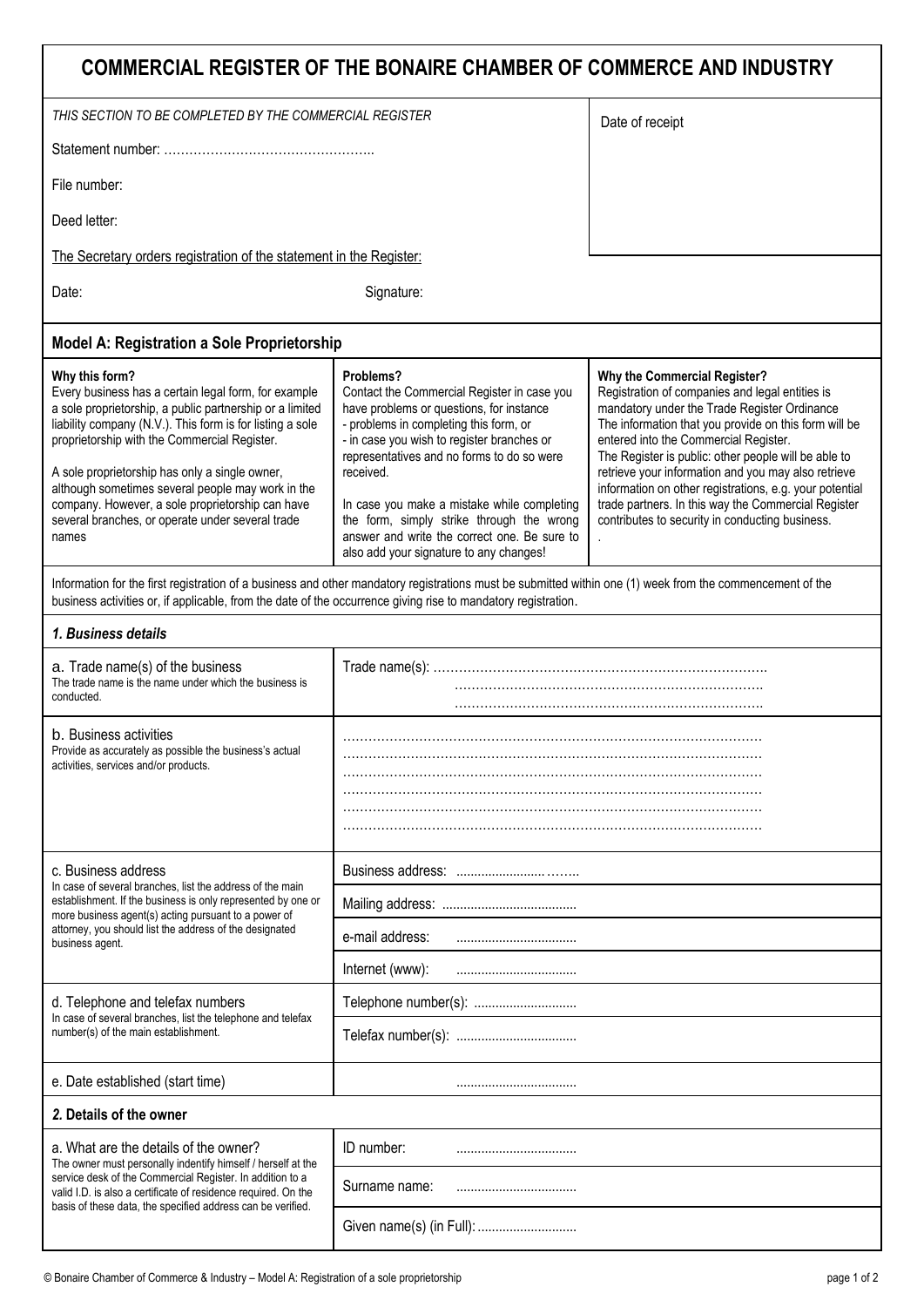| COMMERCIAL REGISTER OF THE BONAIRE CHAMBER OF COMMERCE AND INDUSTRY                                                                                                                                                                                                                                                                                                                                                                                                     |                                                                                                                                                                                                                                                                                                                                                                                                                                                |                                                                                                                                                                                                                                                                                                                                                                                                                                                                                                                       |  |
|-------------------------------------------------------------------------------------------------------------------------------------------------------------------------------------------------------------------------------------------------------------------------------------------------------------------------------------------------------------------------------------------------------------------------------------------------------------------------|------------------------------------------------------------------------------------------------------------------------------------------------------------------------------------------------------------------------------------------------------------------------------------------------------------------------------------------------------------------------------------------------------------------------------------------------|-----------------------------------------------------------------------------------------------------------------------------------------------------------------------------------------------------------------------------------------------------------------------------------------------------------------------------------------------------------------------------------------------------------------------------------------------------------------------------------------------------------------------|--|
| THIS SECTION TO BE COMPLETED BY THE COMMERCIAL REGISTER                                                                                                                                                                                                                                                                                                                                                                                                                 |                                                                                                                                                                                                                                                                                                                                                                                                                                                | Date of receipt                                                                                                                                                                                                                                                                                                                                                                                                                                                                                                       |  |
|                                                                                                                                                                                                                                                                                                                                                                                                                                                                         |                                                                                                                                                                                                                                                                                                                                                                                                                                                |                                                                                                                                                                                                                                                                                                                                                                                                                                                                                                                       |  |
| File number:                                                                                                                                                                                                                                                                                                                                                                                                                                                            |                                                                                                                                                                                                                                                                                                                                                                                                                                                |                                                                                                                                                                                                                                                                                                                                                                                                                                                                                                                       |  |
| Deed letter:                                                                                                                                                                                                                                                                                                                                                                                                                                                            |                                                                                                                                                                                                                                                                                                                                                                                                                                                |                                                                                                                                                                                                                                                                                                                                                                                                                                                                                                                       |  |
| The Secretary orders registration of the statement in the Register:                                                                                                                                                                                                                                                                                                                                                                                                     |                                                                                                                                                                                                                                                                                                                                                                                                                                                |                                                                                                                                                                                                                                                                                                                                                                                                                                                                                                                       |  |
| Date:                                                                                                                                                                                                                                                                                                                                                                                                                                                                   | Signature:                                                                                                                                                                                                                                                                                                                                                                                                                                     |                                                                                                                                                                                                                                                                                                                                                                                                                                                                                                                       |  |
| <b>Model A: Registration a Sole Proprietorship</b>                                                                                                                                                                                                                                                                                                                                                                                                                      |                                                                                                                                                                                                                                                                                                                                                                                                                                                |                                                                                                                                                                                                                                                                                                                                                                                                                                                                                                                       |  |
| Why this form?<br>Every business has a certain legal form, for example<br>a sole proprietorship, a public partnership or a limited<br>liability company (N.V.). This form is for listing a sole<br>proprietorship with the Commercial Register.<br>A sole proprietorship has only a single owner,<br>although sometimes several people may work in the<br>company. However, a sole proprietorship can have<br>several branches, or operate under several trade<br>names | Problems?<br>Contact the Commercial Register in case you<br>have problems or questions, for instance<br>- problems in completing this form, or<br>- in case you wish to register branches or<br>representatives and no forms to do so were<br>received.<br>In case you make a mistake while completing<br>the form, simply strike through the wrong<br>answer and write the correct one. Be sure to<br>also add your signature to any changes! | Why the Commercial Register?<br>Registration of companies and legal entities is<br>mandatory under the Trade Register Ordinance<br>The information that you provide on this form will be<br>entered into the Commercial Register.<br>The Register is public: other people will be able to<br>retrieve your information and you may also retrieve<br>information on other registrations, e.g. your potential<br>trade partners. In this way the Commercial Register<br>contributes to security in conducting business. |  |
| Information for the first registration of a business and other mandatory registrations must be submitted within one (1) week from the commencement of the<br>business activities or, if applicable, from the date of the occurrence giving rise to mandatory registration.                                                                                                                                                                                              |                                                                                                                                                                                                                                                                                                                                                                                                                                                |                                                                                                                                                                                                                                                                                                                                                                                                                                                                                                                       |  |
| 1. Business details                                                                                                                                                                                                                                                                                                                                                                                                                                                     |                                                                                                                                                                                                                                                                                                                                                                                                                                                |                                                                                                                                                                                                                                                                                                                                                                                                                                                                                                                       |  |
| a. Trade name(s) of the business<br>The trade name is the name under which the business is<br>conducted.                                                                                                                                                                                                                                                                                                                                                                |                                                                                                                                                                                                                                                                                                                                                                                                                                                |                                                                                                                                                                                                                                                                                                                                                                                                                                                                                                                       |  |
| b. Business activities<br>Provide as accurately as possible the business's actual<br>activities, services and/or products.                                                                                                                                                                                                                                                                                                                                              |                                                                                                                                                                                                                                                                                                                                                                                                                                                |                                                                                                                                                                                                                                                                                                                                                                                                                                                                                                                       |  |
| c. Business address<br>In case of several branches, list the address of the main<br>establishment. If the business is only represented by one or<br>more business agent(s) acting pursuant to a power of<br>attorney, you should list the address of the designated<br>business agent.                                                                                                                                                                                  |                                                                                                                                                                                                                                                                                                                                                                                                                                                |                                                                                                                                                                                                                                                                                                                                                                                                                                                                                                                       |  |
|                                                                                                                                                                                                                                                                                                                                                                                                                                                                         |                                                                                                                                                                                                                                                                                                                                                                                                                                                |                                                                                                                                                                                                                                                                                                                                                                                                                                                                                                                       |  |
|                                                                                                                                                                                                                                                                                                                                                                                                                                                                         | e-mail address:                                                                                                                                                                                                                                                                                                                                                                                                                                |                                                                                                                                                                                                                                                                                                                                                                                                                                                                                                                       |  |
|                                                                                                                                                                                                                                                                                                                                                                                                                                                                         | Internet (www):<br>                                                                                                                                                                                                                                                                                                                                                                                                                            |                                                                                                                                                                                                                                                                                                                                                                                                                                                                                                                       |  |
| d. Telephone and telefax numbers<br>In case of several branches, list the telephone and telefax<br>number(s) of the main establishment.                                                                                                                                                                                                                                                                                                                                 | Telephone number(s):                                                                                                                                                                                                                                                                                                                                                                                                                           |                                                                                                                                                                                                                                                                                                                                                                                                                                                                                                                       |  |
|                                                                                                                                                                                                                                                                                                                                                                                                                                                                         |                                                                                                                                                                                                                                                                                                                                                                                                                                                |                                                                                                                                                                                                                                                                                                                                                                                                                                                                                                                       |  |
| e. Date established (start time)                                                                                                                                                                                                                                                                                                                                                                                                                                        |                                                                                                                                                                                                                                                                                                                                                                                                                                                |                                                                                                                                                                                                                                                                                                                                                                                                                                                                                                                       |  |
| 2. Details of the owner                                                                                                                                                                                                                                                                                                                                                                                                                                                 |                                                                                                                                                                                                                                                                                                                                                                                                                                                |                                                                                                                                                                                                                                                                                                                                                                                                                                                                                                                       |  |
| a. What are the details of the owner?<br>The owner must personally indentify himself / herself at the<br>service desk of the Commercial Register. In addition to a<br>valid I.D. is also a certificate of residence required. On the<br>basis of these data, the specified address can be verified.                                                                                                                                                                     | ID number:                                                                                                                                                                                                                                                                                                                                                                                                                                     |                                                                                                                                                                                                                                                                                                                                                                                                                                                                                                                       |  |
|                                                                                                                                                                                                                                                                                                                                                                                                                                                                         | Surname name:                                                                                                                                                                                                                                                                                                                                                                                                                                  |                                                                                                                                                                                                                                                                                                                                                                                                                                                                                                                       |  |
|                                                                                                                                                                                                                                                                                                                                                                                                                                                                         |                                                                                                                                                                                                                                                                                                                                                                                                                                                |                                                                                                                                                                                                                                                                                                                                                                                                                                                                                                                       |  |